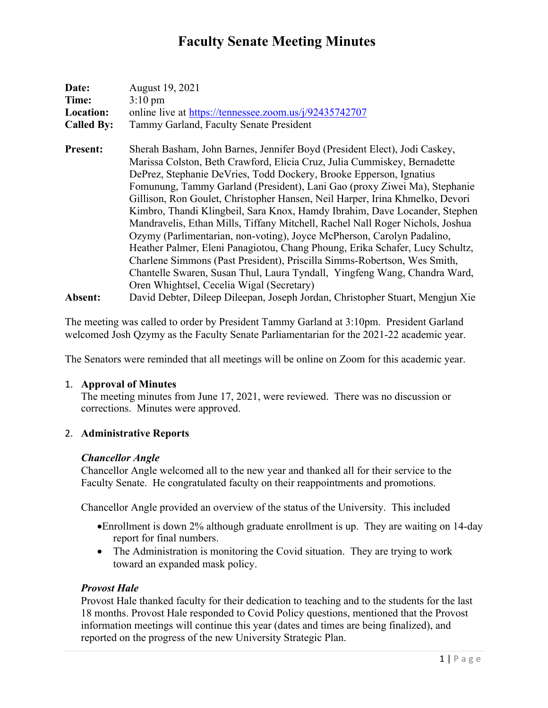| Date:             | August 19, 2021                                                               |
|-------------------|-------------------------------------------------------------------------------|
| Time:             | $3:10 \text{ pm}$                                                             |
| <b>Location:</b>  | online live at https://tennessee.zoom.us/j/92435742707                        |
| <b>Called By:</b> | Tammy Garland, Faculty Senate President                                       |
| <b>Present:</b>   | Sherah Basham, John Barnes, Jennifer Boyd (President Elect), Jodi Caskey,     |
|                   | Marissa Colston, Beth Crawford, Elicia Cruz, Julia Cummiskey, Bernadette      |
|                   | DePrez, Stephanie DeVries, Todd Dockery, Brooke Epperson, Ignatius            |
|                   | Fomunung, Tammy Garland (President), Lani Gao (proxy Ziwei Ma), Stephanie     |
|                   | Gillison, Ron Goulet, Christopher Hansen, Neil Harper, Irina Khmelko, Devori  |
|                   | Kimbro, Thandi Klingbeil, Sara Knox, Hamdy Ibrahim, Dave Locander, Stephen    |
|                   | Mandravelis, Ethan Mills, Tiffany Mitchell, Rachel Nall Roger Nichols, Joshua |
|                   | Ozymy (Parlimentarian, non-voting), Joyce McPherson, Carolyn Padalino,        |
|                   | Heather Palmer, Eleni Panagiotou, Chang Phoung, Erika Schafer, Lucy Schultz,  |
|                   | Charlene Simmons (Past President), Priscilla Simms-Robertson, Wes Smith,      |
|                   | Chantelle Swaren, Susan Thul, Laura Tyndall, Yingfeng Wang, Chandra Ward,     |
|                   | Oren Whightsel, Cecelia Wigal (Secretary)                                     |
| Absent:           | David Debter, Dileep Dileepan, Joseph Jordan, Christopher Stuart, Mengjun Xie |

The meeting was called to order by President Tammy Garland at 3:10pm. President Garland welcomed Josh Qzymy as the Faculty Senate Parliamentarian for the 2021-22 academic year.

The Senators were reminded that all meetings will be online on Zoom for this academic year.

#### 1. **Approval of Minutes**

The meeting minutes from June 17, 2021, were reviewed. There was no discussion or corrections. Minutes were approved.

#### 2. **Administrative Reports**

#### *Chancellor Angle*

Chancellor Angle welcomed all to the new year and thanked all for their service to the Faculty Senate. He congratulated faculty on their reappointments and promotions.

Chancellor Angle provided an overview of the status of the University. This included

- •Enrollment is down 2% although graduate enrollment is up. They are waiting on 14-day report for final numbers.
- The Administration is monitoring the Covid situation. They are trying to work toward an expanded mask policy.

#### *Provost Hale*

Provost Hale thanked faculty for their dedication to teaching and to the students for the last 18 months. Provost Hale responded to Covid Policy questions, mentioned that the Provost information meetings will continue this year (dates and times are being finalized), and reported on the progress of the new University Strategic Plan.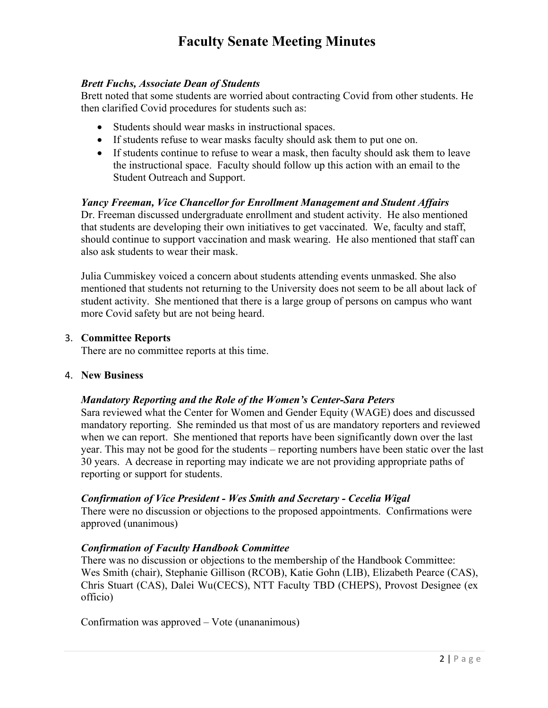#### *Brett Fuchs, Associate Dean of Students*

Brett noted that some students are worried about contracting Covid from other students. He then clarified Covid procedures for students such as:

- Students should wear masks in instructional spaces.
- If students refuse to wear masks faculty should ask them to put one on.
- If students continue to refuse to wear a mask, then faculty should ask them to leave the instructional space. Faculty should follow up this action with an email to the Student Outreach and Support.

## *Yancy Freeman, Vice Chancellor for Enrollment Management and Student Affairs*

Dr. Freeman discussed undergraduate enrollment and student activity. He also mentioned that students are developing their own initiatives to get vaccinated. We, faculty and staff, should continue to support vaccination and mask wearing. He also mentioned that staff can also ask students to wear their mask.

Julia Cummiskey voiced a concern about students attending events unmasked. She also mentioned that students not returning to the University does not seem to be all about lack of student activity. She mentioned that there is a large group of persons on campus who want more Covid safety but are not being heard.

#### 3. **Committee Reports**

There are no committee reports at this time.

#### 4. **New Business**

#### *Mandatory Reporting and the Role of the Women's Center-Sara Peters*

Sara reviewed what the Center for Women and Gender Equity (WAGE) does and discussed mandatory reporting. She reminded us that most of us are mandatory reporters and reviewed when we can report. She mentioned that reports have been significantly down over the last year. This may not be good for the students – reporting numbers have been static over the last 30 years. A decrease in reporting may indicate we are not providing appropriate paths of reporting or support for students.

#### *Confirmation of Vice President - Wes Smith and Secretary - Cecelia Wigal*

There were no discussion or objections to the proposed appointments. Confirmations were approved (unanimous)

#### *Confirmation of Faculty Handbook Committee*

There was no discussion or objections to the membership of the Handbook Committee: Wes Smith (chair), Stephanie Gillison (RCOB), Katie Gohn (LIB), Elizabeth Pearce (CAS), Chris Stuart (CAS), Dalei Wu(CECS), NTT Faculty TBD (CHEPS), Provost Designee (ex officio)

Confirmation was approved – Vote (unananimous)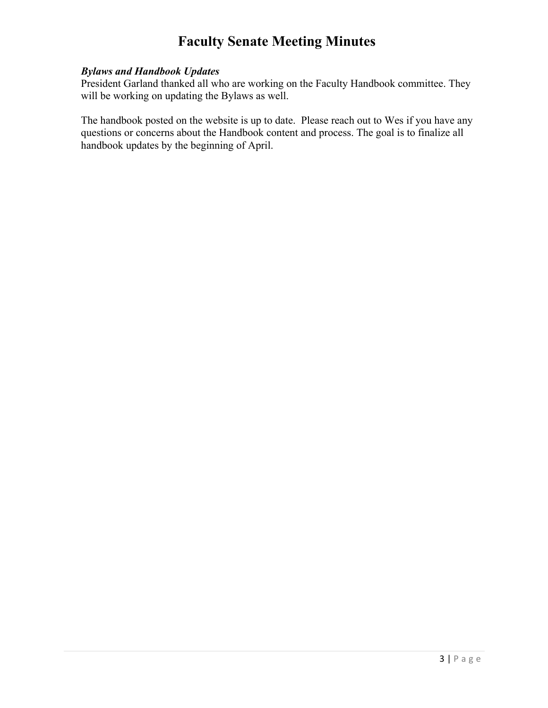## *Bylaws and Handbook Updates*

President Garland thanked all who are working on the Faculty Handbook committee. They will be working on updating the Bylaws as well.

The handbook posted on the website is up to date. Please reach out to Wes if you have any questions or concerns about the Handbook content and process. The goal is to finalize all handbook updates by the beginning of April.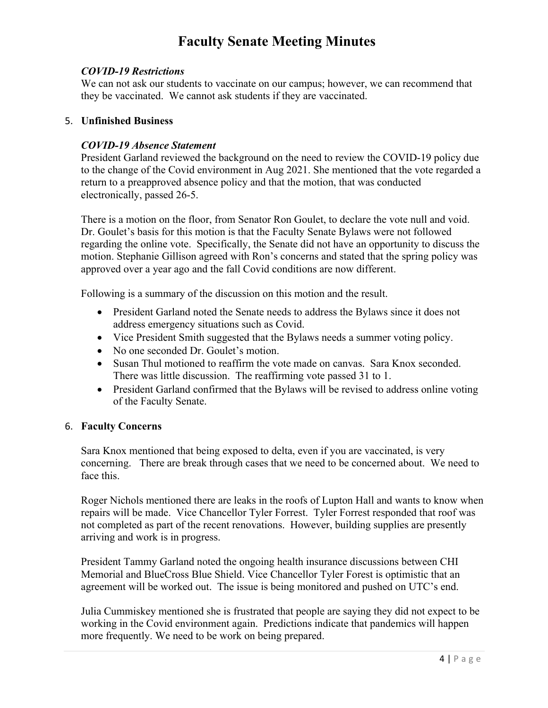#### *COVID-19 Restrictions*

We can not ask our students to vaccinate on our campus; however, we can recommend that they be vaccinated. We cannot ask students if they are vaccinated.

#### 5. **Unfinished Business**

#### *COVID-19 Absence Statement*

President Garland reviewed the background on the need to review the COVID-19 policy due to the change of the Covid environment in Aug 2021. She mentioned that the vote regarded a return to a preapproved absence policy and that the motion, that was conducted electronically, passed 26-5.

There is a motion on the floor, from Senator Ron Goulet, to declare the vote null and void. Dr. Goulet's basis for this motion is that the Faculty Senate Bylaws were not followed regarding the online vote. Specifically, the Senate did not have an opportunity to discuss the motion. Stephanie Gillison agreed with Ron's concerns and stated that the spring policy was approved over a year ago and the fall Covid conditions are now different.

Following is a summary of the discussion on this motion and the result.

- President Garland noted the Senate needs to address the Bylaws since it does not address emergency situations such as Covid.
- Vice President Smith suggested that the Bylaws needs a summer voting policy.
- No one seconded Dr. Goulet's motion.
- Susan Thul motioned to reaffirm the vote made on canvas. Sara Knox seconded. There was little discussion. The reaffirming vote passed 31 to 1.
- President Garland confirmed that the Bylaws will be revised to address online voting of the Faculty Senate.

#### 6. **Faculty Concerns**

Sara Knox mentioned that being exposed to delta, even if you are vaccinated, is very concerning. There are break through cases that we need to be concerned about. We need to face this.

Roger Nichols mentioned there are leaks in the roofs of Lupton Hall and wants to know when repairs will be made. Vice Chancellor Tyler Forrest. Tyler Forrest responded that roof was not completed as part of the recent renovations. However, building supplies are presently arriving and work is in progress.

President Tammy Garland noted the ongoing health insurance discussions between CHI Memorial and BlueCross Blue Shield. Vice Chancellor Tyler Forest is optimistic that an agreement will be worked out. The issue is being monitored and pushed on UTC's end.

Julia Cummiskey mentioned she is frustrated that people are saying they did not expect to be working in the Covid environment again. Predictions indicate that pandemics will happen more frequently. We need to be work on being prepared.